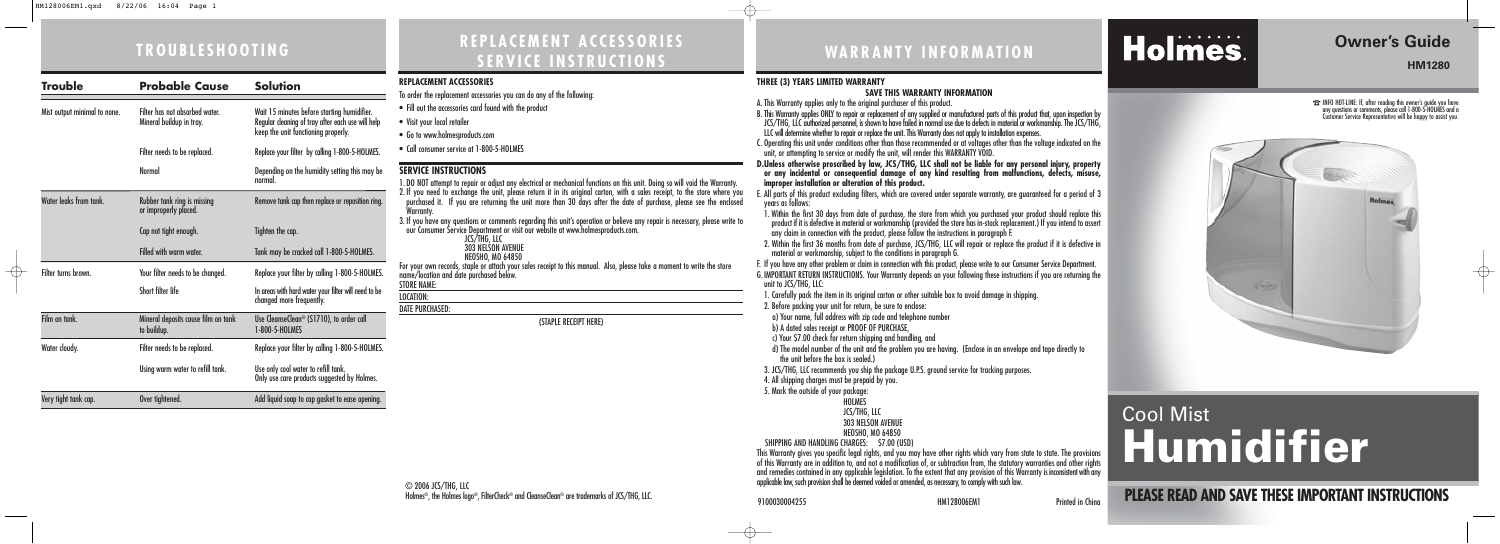| <b>Trouble</b>               | <b>Probable Cause</b>                                      | <b>Solution</b>                                                                                                                         |
|------------------------------|------------------------------------------------------------|-----------------------------------------------------------------------------------------------------------------------------------------|
| Mist output minimal to none. | Filter has not absorbed water.<br>Mineral buildup in tray. | Wait 15 minutes before starting humidifier.<br>Regular cleaning of tray after each use will help<br>keep the unit functioning properly. |
|                              | Filter needs to be replaced.                               | Replace your filter by calling 1-800-5-HOLMES.                                                                                          |
|                              | <b>Normal</b>                                              | Depending on the humidity setting this may be<br>normal.                                                                                |
| Water leaks from tank.       | Rubber tank ring is missing<br>or improperly placed.       | Remove tank cap then replace or reposition ring.                                                                                        |
|                              | Cap not tight enough.                                      | Tighten the cap.                                                                                                                        |
|                              | <b>Filled with warm water</b>                              | Tank may be cracked call 1-800-5-HOLMES.                                                                                                |
| Filter turns brown.          | Your filter needs to be changed.                           | Replace your filter by calling 1-800-5-HOLMES.                                                                                          |
|                              | Short filter life                                          | In areas with hard water your filter will need to be<br>changed more frequently.                                                        |
| Film on tank.                | Mineral deposits cause film on tank<br>to buildup.         | Use CleanseClean <sup>®</sup> (S1710), to order call<br>1-800-5-HOLMES                                                                  |
| Water cloudy.                | Filter needs to be replaced.                               | Replace your filter by calling 1-800-5-HOLMES.                                                                                          |
|                              | Using warm water to refill tank.                           | Use only cool water to refill tank.<br>Only use care products suggested by Holmes.                                                      |
| Very tight tank cap.         | Over tightened.                                            | Add liquid soap to cap gasket to ease opening.                                                                                          |

# **WARRANTY INFORMATION**

#### **THREE (3) YEARS LIMITED WARRANTY**

### **SAVE THIS WARRANTY INFORMATION**

A. This Warranty applies only to the original purchaser of this product.

B. This Warranty applies ONLY to repair or replacement of any supplied or manufactured parts of this product that, upon inspection by JCS/THG, LLC authorized personnel, is shown to have failed in normal use due to defects in material or workmanship. The JCS/THG, LLC will determine whether to repair or replace the unit. This Warranty does not apply to installation expenses.

C. Operating this unit under conditions other than those recommended or at voltages other than the voltage indicated on the unit, or attempting to service or modify the unit, will render this WARRANTY VOID.

**D.Unless otherwise proscribed by law, JCS/THG, LLC shall not be liable for any personal injury, property or any incidental or consequential damage of any kind resulting from malfunctions, defects, misuse, improper installation or alteration of this product.**

SHIPPING AND HANDLING CHARGES: \$7.00 (USD) This Warranty gives you specific legal rights, and you may have other rights which vary from state to state. The provisions of this Warranty are in addition to, and not a modification of, or subtraction from, the statutory warranties and other rights and remedies contained in any applicable legislation. To the extent that any provision of this Warranty is inconsistent with any applicable law, such provision shall be deemed voided or amended, as necessary, to comply with such law.

E. All parts of this product excluding filters, which are covered under separate warranty, are guaranteed for a period of 3

years as follows:

**EX** INFO HOT-LINE: If, after reading this owner's guide you have any questions or comments, please call 1-800-5-HOLMES and a Customer Service Representative will be happy to assist you.



1. Within the first 30 days from date of purchase, the store from which you purchased your product should replace this product if it is defective in material or workmanship (provided the store has in-stock replacement.) If you intend to assert any claim in connection with the product, please follow the instructions in paragraph F.

2. Within the first 36 months from date of purchase, JCS/THG, LLC will repair or replace the product if it is defective in material or workmanship, subject to the conditions in paragraph G.

F. If you have any other problem or claim in connection with this product, please write to our Consumer Service Department. G. IMPORTANT RETURN INSTRUCTIONS. Your Warranty depends on your following these instructions if you are returning the

unit to JCS/THG, LLC:

1. Carefully pack the item in its original carton or other suitable box to avoid damage in shipping.

2. Before packing your unit for return, be sure to enclose:

a) Your name, full address with zip code and telephone number

b) A dated sales receipt or PROOF OF PURCHASE.

- 
- 

c) Your \$7.00 check for return shipping and handling, and

d) The model number of the unit and the problem you are having. (Enclose in an envelope and tape directly to the unit before the box is sealed.)

3. JCS/THG, LLC recommends you ship the package U.P.S. ground service for tracking purposes.

4. All shipping charges must be prepaid by you.

5. Mark the outside of your package:

**HOLMES** 

JCS/THG, LLC

303 NELSON AVENUE

NEOSHO, MO 64850

# Holmes.

9100030004255 HM128006EM1 Printed in China

# **Owner's Guide**

**HM1280**

 $\oplus$ 

# Cool Mist **Humidifier**

**PLEASE READ AND SAVE THESE IMPORTANT INSTRUCTIONS** 

#### **REPLACEMENT ACCESSORIES**

To order the replacement accessories you can do any of the following:

- Fill out the accessories card found with the product
- Visit your local retailer
- Go to www.holmesproducts.com
- Call consumer service at 1-800-5-HOLMES

### **SERVICE INSTRUCTIONS**

1. DO NOT attempt to repair or adjust any electrical or mechanical functions on this unit. Doing so will void the Warranty. 2. If you need to exchange the unit, please return it in its original carton, with a sales receipt, to the store where you purchased it. If you are returning the unit more than 30 days after the date of purchase, please see the enclosed Warranty. 3. If you have any questions or comments regarding this unit's operation or believe any repair is necessary, please write to our Consumer Service Department or visit our website at www.holmesproducts.com. JCS/THG, LLC 303 NELSON AVENUE<br>NEOSHO, MO 64850 For your own records, staple or attach your sales receipt to this manual. Also, please take a moment to write the store name/location and date purchased below. STORE NAME: LOCATION: DATE PURCHASED: (STAPLE RECEIPT HERE)

# **TROUBLESHOOTING REPLACEMENT ACCESSORIES SERVICE INSTRUCTIONS**

 $\bigoplus$